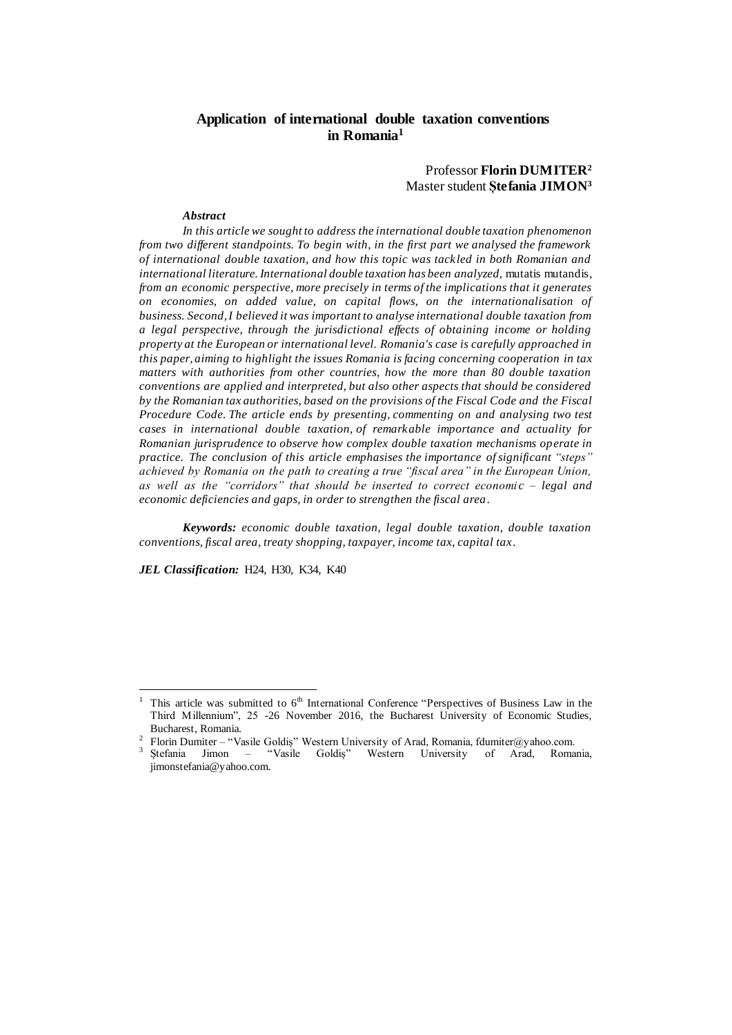# **Application of international double taxation conventions in Romania<sup>1</sup>**

# Professor **Florin DUMITER<sup>2</sup>** Master student **Ștefania JIMON<sup>3</sup>**

### *Abstract*

*In this article we sought to address the international double taxation phenomenon from two different standpoints. To begin with, in the first part we analysed the framework of international double taxation, and how this topic was tackled in both Romanian and international literature. International double taxation has been analyzed, mutatis mutandis, from an economic perspective, more precisely in terms of the implications that it generates on economies, on added value, on capital flows, on the internationalisation of business. Second, I believed it was important to analyse international double taxation from a legal perspective, through the jurisdictional effects of obtaining income or holding property at the European or international level. Romania's case is carefully approached in this paper, aiming to highlight the issues Romania is facing concerning cooperation in tax matters with authorities from other countries, how the more than 80 double taxation conventions are applied and interpreted, but also other aspects that should be considered by the Romanian tax authorities, based on the provisions of the Fiscal Code and the Fiscal Procedure Code. The article ends by presenting, commenting on and analysing two test cases in international double taxation, of remarkable importance and actuality for Romanian jurisprudence to observe how complex double taxation mechanisms operate in practice. The conclusion of this article emphasises the importance ofsignificant "steps" achieved by Romania on the path to creating a true "fiscal area" in the European Union, as well as the "corridors" that should be inserted to correct economi c – legal and economic deficiencies and gaps, in order to strengthen the fiscal area.*

*Keywords: economic double taxation, legal double taxation, double taxation conventions, fiscal area, treaty shopping, taxpayer, income tax, capital tax.*

*JEL Classification:* H24, H30, K34, K40

 $\overline{a}$ 

This article was submitted to 6<sup>th</sup> International Conference "Perspectives of Business Law in the Third Millennium", 25 -26 November 2016, the Bucharest University of Economic Studies, Bucharest, Romania.

<sup>&</sup>lt;sup>2</sup> Florin Dumiter – "Vasile Goldiș" Western University of Arad, Romania, fdumiter@yahoo.com.

<sup>3</sup> Ștefania Jimon – "Vasile Goldiș" Western University of Arad, Romania, jimonstefania@yahoo.com.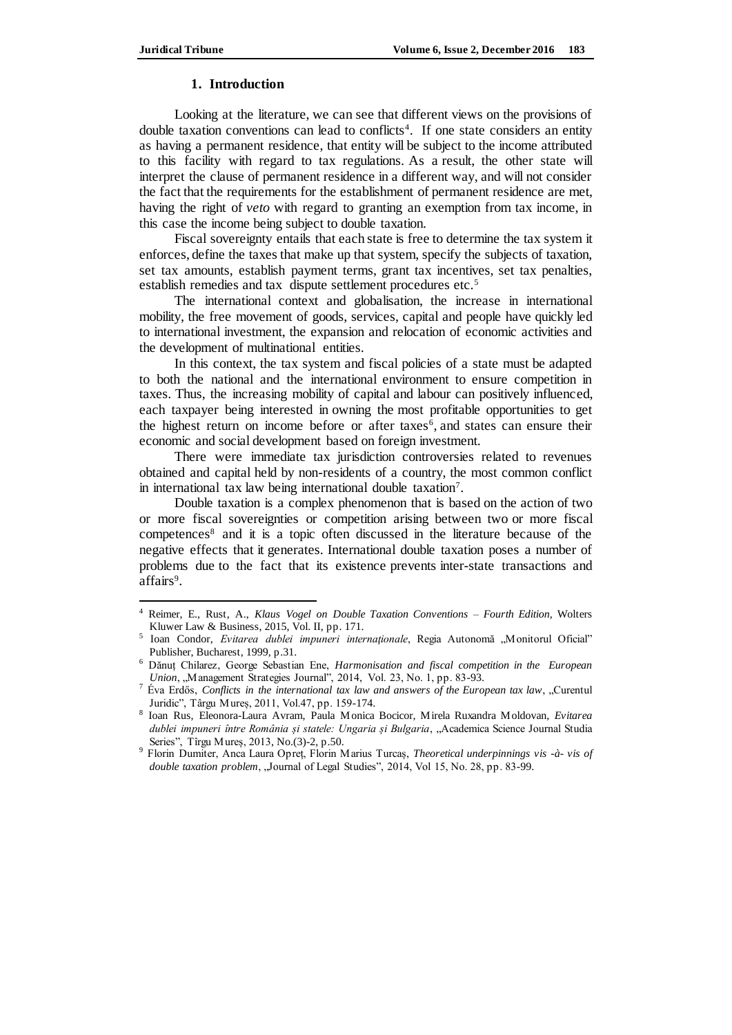### **1. Introduction**

Looking at the literature, we can see that different views on the provisions of double taxation conventions can lead to conflicts<sup>4</sup>. If one state considers an entity as having a permanent residence, that entity will be subject to the income attributed to this facility with regard to tax regulations. As a result, the other state will interpret the clause of permanent residence in a different way, and will not consider the fact that the requirements for the establishment of permanent residence are met, having the right of *veto* with regard to granting an exemption from tax income, in this case the income being subject to double taxation.

Fiscal sovereignty entails that each state is free to determine the tax system it enforces, define the taxes that make up that system, specify the subjects of taxation, set tax amounts, establish payment terms, grant tax incentives, set tax penalties, establish remedies and tax dispute settlement procedures etc.<sup>5</sup>

The international context and globalisation, the increase in international mobility, the free movement of goods, services, capital and people have quickly led to international investment, the expansion and relocation of economic activities and the development of multinational entities.

In this context, the tax system and fiscal policies of a state must be adapted to both the national and the international environment to ensure competition in taxes. Thus, the increasing mobility of capital and labour can positively influenced, each taxpayer being interested in owning the most profitable opportunities to get the highest return on income before or after taxes<sup> $6$ </sup>, and states can ensure their economic and social development based on foreign investment.

There were immediate tax jurisdiction controversies related to revenues obtained and capital held by non-residents of a country, the most common conflict in international tax law being international double taxation<sup>7</sup>.

Double taxation is a complex phenomenon that is based on the action of two or more fiscal sovereignties or competition arising between two or more fiscal competences<sup>8</sup> and it is a topic often discussed in the literature because of the negative effects that it generates. International double taxation poses a number of problems due to the fact that its existence prevents inter-state transactions and affairs<sup>9</sup>.

<sup>4</sup> Reimer, E., Rust, A., *Klaus Vogel on Double Taxation Conventions – Fourth Edition,* Wolters Kluwer Law & Business, 2015, Vol. II, pp. 171.

<sup>5</sup> Ioan Condor, *Evitarea dublei impuneri internaționale*, Regia Autonomă "Monitorul Oficial" Publisher, Bucharest, 1999, p.31.

<sup>6</sup> Dănuț Chilarez, George Sebastian Ene, *Harmonisation and fiscal competition in the European Union*, "Management Strategies Journal", 2014, Vol. 23, No. 1, pp. 83-93.

<sup>7</sup> Éva Erdős, *Conflicts in the international tax law and answers of the European tax law*, "Curentul Juridic", Târgu Mureș, 2011, Vol.47, pp. 159-174.

<sup>8</sup> Ioan Rus, Eleonora-Laura Avram, Paula Monica Bocicor, Mirela Ruxandra Moldovan, *Evitarea dublei impuneri între România și statele: Ungaria și Bulgaria*, "Academica Science Journal Studia Series", Tîrgu Mureș, 2013, No.(3)-2, p.50.

<sup>9</sup> Florin Dumiter, Anca Laura Opreț, Florin Marius Turcaș, *Theoretical underpinnings vis -à- vis of*  double taxation problem, "Journal of Legal Studies", 2014, Vol 15, No. 28, pp. 83-99.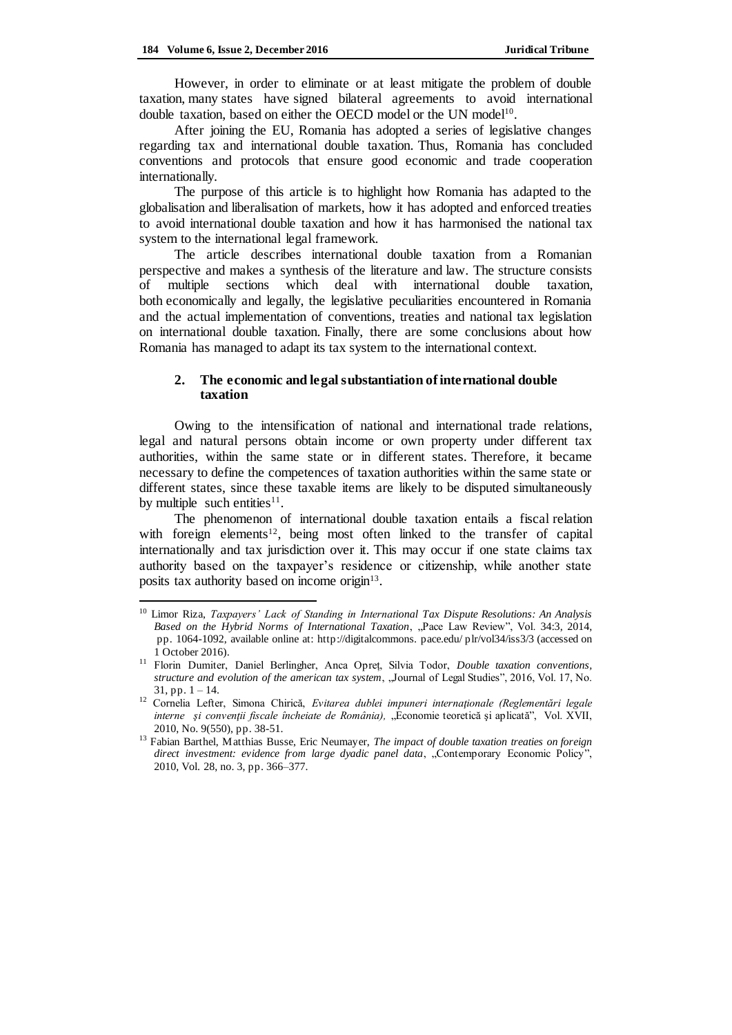However, in order to eliminate or at least mitigate the problem of double taxation, many states have signed bilateral agreements to avoid international double taxation, based on either the OECD model or the UN model<sup>10</sup>.

After joining the EU, Romania has adopted a series of legislative changes regarding tax and international double taxation. Thus, Romania has concluded conventions and protocols that ensure good economic and trade cooperation internationally.

The purpose of this article is to highlight how Romania has adapted to the globalisation and liberalisation of markets, how it has adopted and enforced treaties to avoid international double taxation and how it has harmonised the national tax system to the international legal framework.

The article describes international double taxation from a Romanian perspective and makes a synthesis of the literature and law. The structure consists of multiple sections which deal with international double taxation, both economically and legally, the legislative peculiarities encountered in Romania and the actual implementation of conventions, treaties and national tax legislation on international double taxation. Finally, there are some conclusions about how Romania has managed to adapt its tax system to the international context.

## **2. The economic and legal substantiation of international double taxation**

Owing to the intensification of national and international trade relations, legal and natural persons obtain income or own property under different tax authorities, within the same state or in different states. Therefore, it became necessary to define the competences of taxation authorities within the same state or different states, since these taxable items are likely to be disputed simultaneously by multiple such entities<sup>11</sup>.

The phenomenon of international double taxation entails a fiscal relation with foreign elements<sup>12</sup>, being most often linked to the transfer of capital internationally and tax jurisdiction over it. This may occur if one state claims tax authority based on the taxpayer's residence or citizenship, while another state posits tax authority based on income origin<sup>13</sup>.

<sup>10</sup> Limor Riza, *Taxpayers' Lack of Standing in International Tax Dispute Resolutions: An Analysis Based on the Hybrid Norms of International Taxation*, "Pace Law Review", Vol. 34:3, 2014, pp. 1064-1092, available online at: http://digitalcommons. pace.edu/ plr/vol34/iss3/3 (accessed on 1 October 2016).

<sup>11</sup> Florin Dumiter, Daniel Berlingher, Anca Opreț, Silvia Todor, *Double taxation conventions, structure and evolution of the american tax system*, "Journal of Legal Studies", 2016, Vol. 17, No.  $31, pp. 1 - 14.$ 

<sup>12</sup> Cornelia Lefter, Simona Chirică, *Evitarea dublei impuneri internaţionale (Reglementări legale interne şi convenţii fiscale încheiate de România),* "Economie teoretică şi aplicată", Vol. XVII, 2010, No. 9(550), pp. 38-51.

<sup>&</sup>lt;sup>13</sup> Fabian Barthel, Matthias Busse, Eric Neumayer, *The impact of double taxation treaties on foreign direct investment: evidence from large dyadic panel data*, "Contemporary Economic Policy", 2010, Vol. 28, no. 3, pp. 366–377.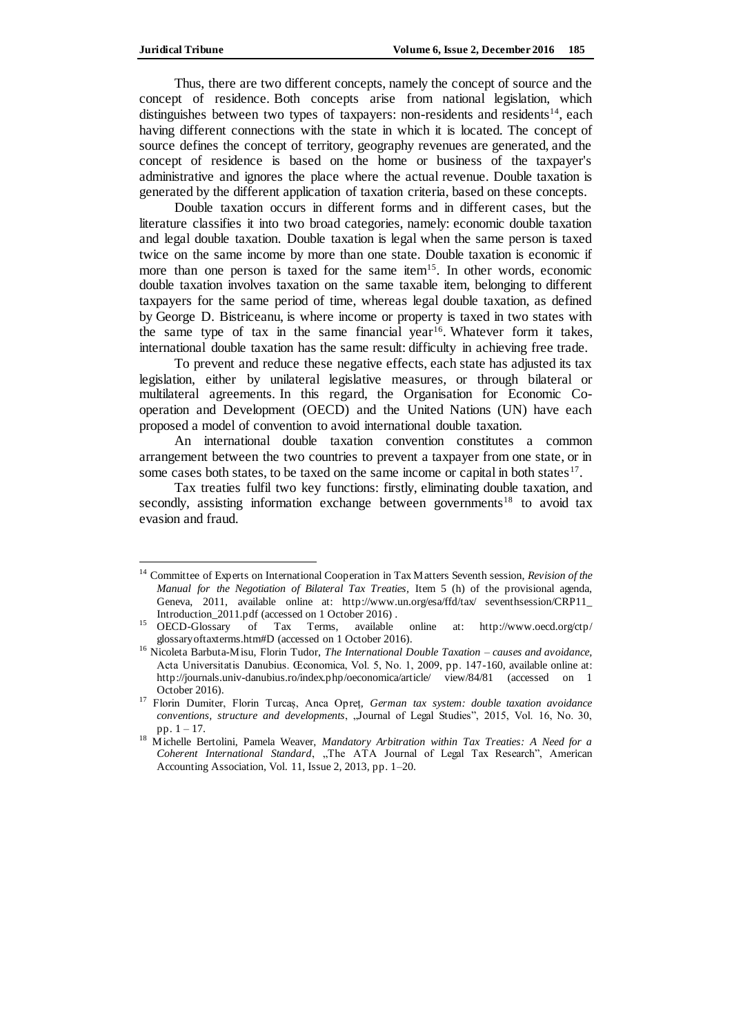Thus, there are two different concepts, namely the concept of source and the concept of residence. Both concepts arise from national legislation, which distinguishes between two types of taxpayers: non-residents and residents<sup>14</sup>, each having different connections with the state in which it is located. The concept of source defines the concept of territory, geography revenues are generated, and the concept of residence is based on the home or business of the taxpayer's administrative and ignores the place where the actual revenue. Double taxation is generated by the different application of taxation criteria, based on these concepts.

Double taxation occurs in different forms and in different cases, but the literature classifies it into two broad categories, namely: economic double taxation and legal double taxation. Double taxation is legal when the same person is taxed twice on the same income by more than one state. Double taxation is economic if more than one person is taxed for the same item<sup>15</sup>. In other words, economic double taxation involves taxation on the same taxable item, belonging to different taxpayers for the same period of time, whereas legal double taxation, as defined by George D. Bistriceanu, is where income or property is taxed in two states with the same type of tax in the same financial year<sup>16</sup>. Whatever form it takes, international double taxation has the same result: difficulty in achieving free trade.

To prevent and reduce these negative effects, each state has adjusted its tax legislation, either by unilateral legislative measures, or through bilateral or multilateral agreements. In this regard, the Organisation for Economic Cooperation and Development (OECD) and the United Nations (UN) have each proposed a model of convention to avoid international double taxation.

An international double taxation convention constitutes a common arrangement between the two countries to prevent a taxpayer from one state, or in some cases both states, to be taxed on the same income or capital in both states $17$ .

Tax treaties fulfil two key functions: firstly, eliminating double taxation, and secondly, assisting information exchange between governments<sup>18</sup> to avoid tax evasion and fraud.

<sup>14</sup> Committee of Experts on International Cooperation in Tax Matters Seventh session, *Revision of the Manual for the Negotiation of Bilateral Tax Treaties,* Item 5 (h) of the provisional agenda, Geneva, 2011, available online at: [http://www.un.org/esa/ffd/t](http://www.un.org/esa/ffd/)ax/ seventhsession/CRP11\_

Introduction\_2011.pdf (accessed on 1 October 2016) .<br>OECD-Glossary of Tax Terms, available <sup>15</sup> OECD-Glossary of Tax Terms, available online at: [http://www.oecd.org/ctp/](http://www.oecd.org/ctp/glossaryoftaxterms.htm#D) [glossaryoftaxterms.htm#D](http://www.oecd.org/ctp/glossaryoftaxterms.htm#D) (accessed on 1 October 2016).

<sup>16</sup> Nicoleta Barbuta-Misu, Florin Tudor, *The International Double Taxation – causes and avoidance,*  Acta Universitatis Danubius. Œconomica, Vol. 5, No. 1, 2009, pp. 147-160, available online at: [http://journals.univ-danubius.ro/index.php/oeconomica/article/ view/84/81](http://journals.univ-danubius.ro/index.php/oeconomica/article/%20view/84/81) (accessed on 1 October 2016).

<sup>17</sup> Florin Dumiter, Florin Turcaș, Anca Opreț*, German tax system: double taxation avoidance conventions, structure and developments*, "Journal of Legal Studies", 2015, Vol. 16, No. 30, pp. 1 – 17.

<sup>&</sup>lt;sup>18</sup> Michelle Bertolini, Pamela Weaver, *Mandatory Arbitration within Tax Treaties: A Need for a Coherent International Standard*, "The ATA Journal of Legal Tax Research", American Accounting Association, Vol. 11, Issue 2, 2013, pp. 1–20.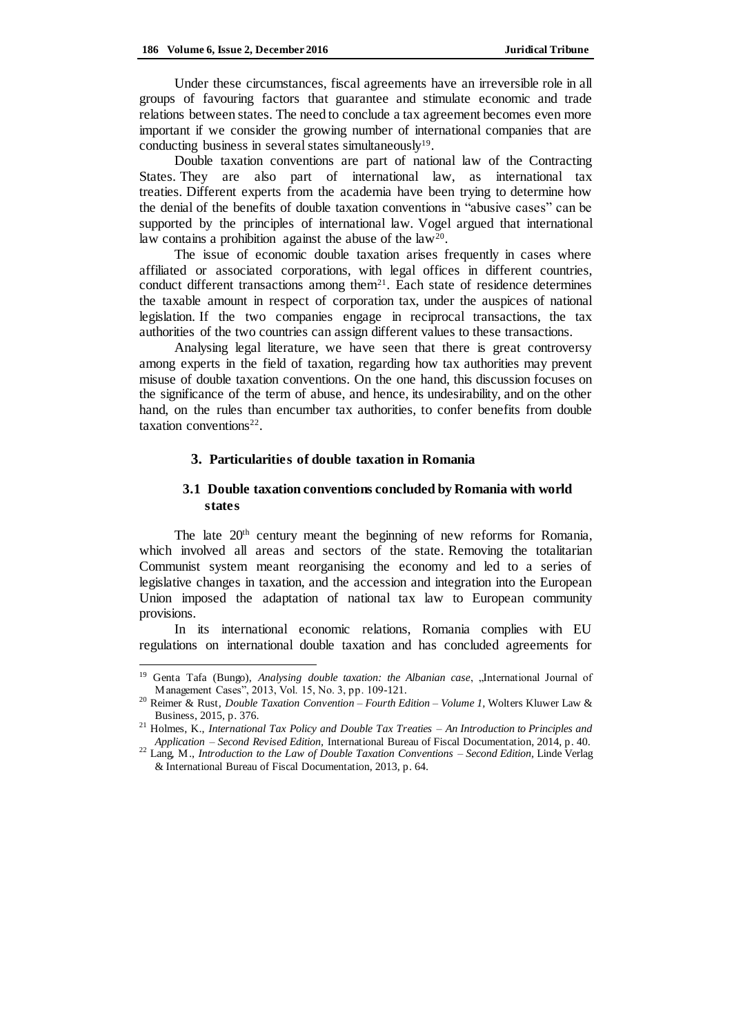Under these circumstances, fiscal agreements have an irreversible role in all groups of favouring factors that guarantee and stimulate economic and trade relations between states. The need to conclude a tax agreement becomes even more important if we consider the growing number of international companies that are conducting business in several states simultaneously<sup>19</sup>.

Double taxation conventions are part of national law of the Contracting States. They are also part of international law, as international tax treaties. Different experts from the academia have been trying to determine how the denial of the benefits of double taxation conventions in "abusive cases" can be supported by the principles of international law. Vogel argued that international law contains a prohibition against the abuse of the  $law^{20}$ .

The issue of economic double taxation arises frequently in cases where affiliated or associated corporations, with legal offices in different countries, conduct different transactions among them<sup>21</sup>. Each state of residence determines the taxable amount in respect of corporation tax, under the auspices of national legislation. If the two companies engage in reciprocal transactions, the tax authorities of the two countries can assign different values to these transactions.

Analysing legal literature, we have seen that there is great controversy among experts in the field of taxation, regarding how tax authorities may prevent misuse of double taxation conventions. On the one hand, this discussion focuses on the significance of the term of abuse, and hence, its undesirability, and on the other hand, on the rules than encumber tax authorities, to confer benefits from double  $taxation$  conventions<sup>22</sup>.

### **3. Particularities of double taxation in Romania**

## **3.1 Double taxation conventions concluded by Romania with world states**

The late 20<sup>th</sup> century meant the beginning of new reforms for Romania, which involved all areas and sectors of the state. Removing the totalitarian Communist system meant reorganising the economy and led to a series of legislative changes in taxation, and the accession and integration into the European Union imposed the adaptation of national tax law to European community provisions.

In its international economic relations, Romania complies with EU regulations on international double taxation and has concluded agreements for

Genta Tafa (Bungo), *Analysing double taxation: the Albanian case*, "International Journal of Management Cases", 2013, Vol. 15, No. 3, pp. 109-121.

<sup>20</sup> Reimer & Rust, *Double Taxation Convention – Fourth Edition – Volume 1,* Wolters Kluwer Law & Business, 2015, p. 376.

<sup>21</sup> Holmes, K., *International Tax Policy and Double Tax Treaties – An Introduction to Principles and Application – Second Revised Edition,* International Bureau of Fiscal Documentation, 2014, p. 40.

<sup>22</sup> Lang, M., *Introduction to the Law of Double Taxation Conventions – Second Edition,* Linde Verlag & International Bureau of Fiscal Documentation, 2013, p. 64.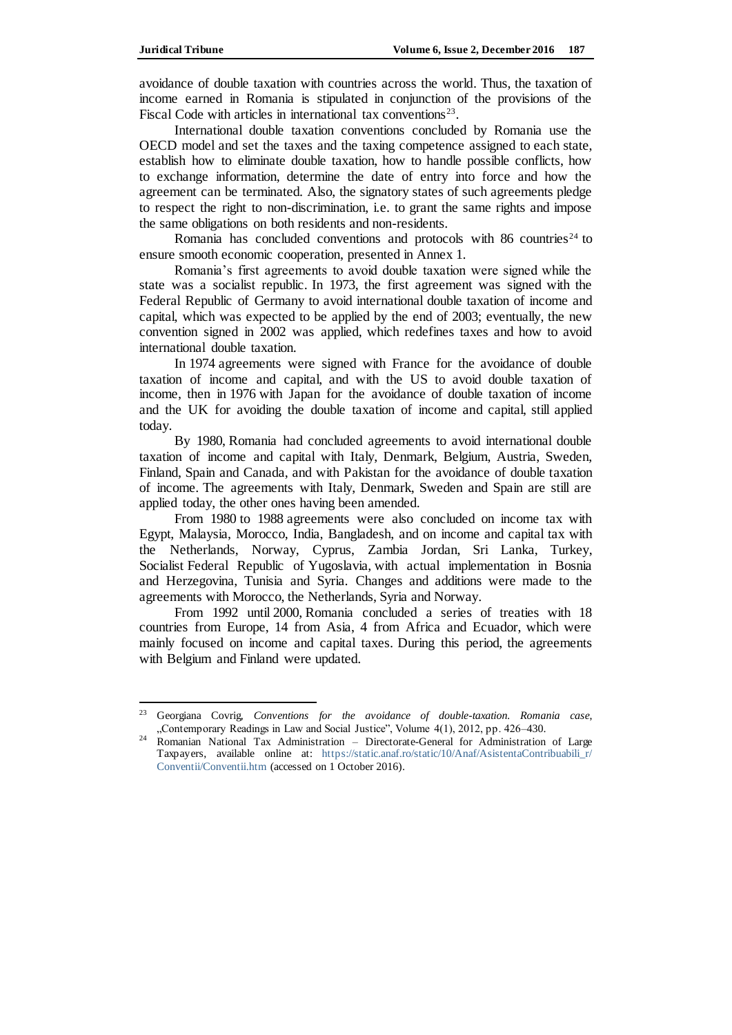avoidance of double taxation with countries across the world. Thus, the taxation of income earned in Romania is stipulated in conjunction of the provisions of the Fiscal Code with articles in international tax conventions<sup>23</sup>.

International double taxation conventions concluded by Romania use the OECD model and set the taxes and the taxing competence assigned to each state, establish how to eliminate double taxation, how to handle possible conflicts, how to exchange information, determine the date of entry into force and how the agreement can be terminated. Also, the signatory states of such agreements pledge to respect the right to non-discrimination, i.e. to grant the same rights and impose the same obligations on both residents and non-residents.

Romania has concluded conventions and protocols with  $86$  countries<sup>24</sup> to ensure smooth economic cooperation, presented in Annex 1.

Romania's first agreements to avoid double taxation were signed while the state was a socialist republic. In 1973, the first agreement was signed with the Federal Republic of Germany to avoid international double taxation of income and capital, which was expected to be applied by the end of 2003; eventually, the new convention signed in 2002 was applied, which redefines taxes and how to avoid international double taxation.

In 1974 agreements were signed with France for the avoidance of double taxation of income and capital, and with the US to avoid double taxation of income, then in 1976 with Japan for the avoidance of double taxation of income and the UK for avoiding the double taxation of income and capital, still applied today.

By 1980, Romania had concluded agreements to avoid international double taxation of income and capital with Italy, Denmark, Belgium, Austria, Sweden, Finland, Spain and Canada, and with Pakistan for the avoidance of double taxation of income. The agreements with Italy, Denmark, Sweden and Spain are still are applied today, the other ones having been amended.

From 1980 to 1988 agreements were also concluded on income tax with Egypt, Malaysia, Morocco, India, Bangladesh, and on income and capital tax with the Netherlands, Norway, Cyprus, Zambia Jordan, Sri Lanka, Turkey, Socialist Federal Republic of Yugoslavia, with actual implementation in Bosnia and Herzegovina, Tunisia and Syria. Changes and additions were made to the agreements with Morocco, the Netherlands, Syria and Norway.

From 1992 until 2000, Romania concluded a series of treaties with 18 countries from Europe, 14 from Asia, 4 from Africa and Ecuador, which were mainly focused on income and capital taxes. During this period, the agreements with Belgium and Finland were updated.

<sup>23</sup> Georgiana Covrig, *Conventions for the avoidance of double-taxation. Romania case*, "Contemporary Readings in Law and Social Justice", Volume 4(1), 2012, pp. 426–430.

<sup>24</sup> Romanian National Tax Administration – Directorate-General for Administration of Large Taxpayers, available online at: [https://static.anaf.ro/static/10/Anaf/AsistentaContribuabili\\_r/](https://static.anaf.ro/static/10/Anaf/AsistentaContribuabili_r/%20Conventii/Conventii.htm)  [Conventii/Conventii.htm](https://static.anaf.ro/static/10/Anaf/AsistentaContribuabili_r/%20Conventii/Conventii.htm) (accessed on 1 October 2016).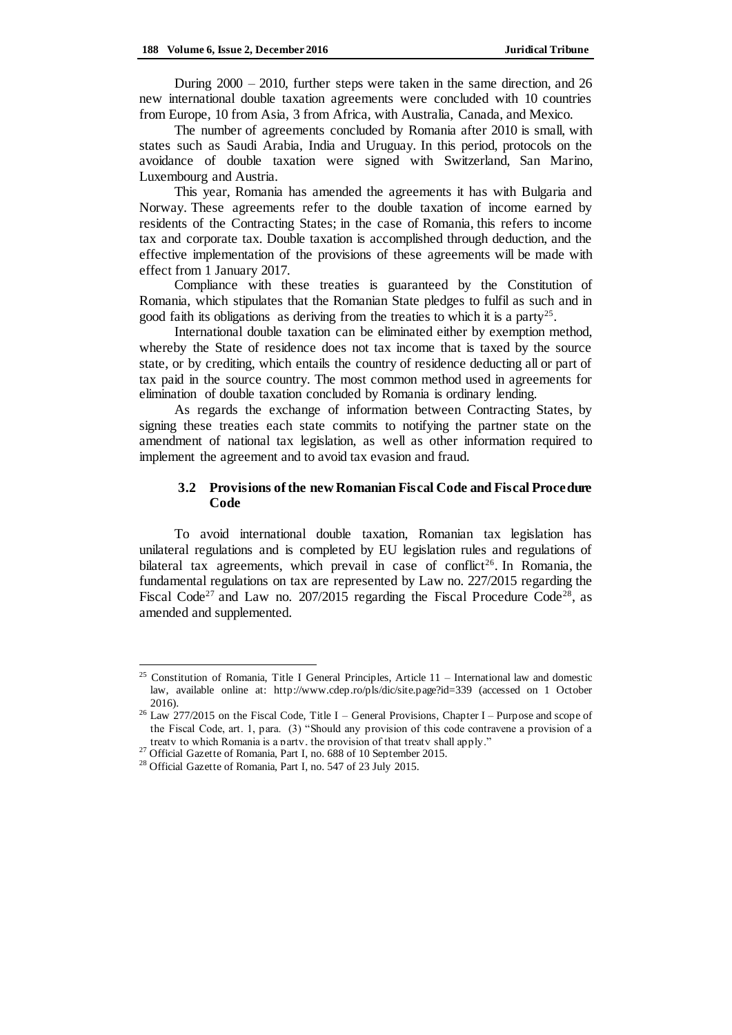During 2000 – 2010, further steps were taken in the same direction, and 26 new international double taxation agreements were concluded with 10 countries from Europe, 10 from Asia, 3 from Africa, with Australia, Canada, and Mexico.

The number of agreements concluded by Romania after 2010 is small, with states such as Saudi Arabia, India and Uruguay. In this period, protocols on the avoidance of double taxation were signed with Switzerland, San Marino, Luxembourg and Austria.

This year, Romania has amended the agreements it has with Bulgaria and Norway. These agreements refer to the double taxation of income earned by residents of the Contracting States; in the case of Romania, this refers to income tax and corporate tax. Double taxation is accomplished through deduction, and the effective implementation of the provisions of these agreements will be made with effect from 1 January 2017.

Compliance with these treaties is guaranteed by the Constitution of Romania, which stipulates that the Romanian State pledges to fulfil as such and in good faith its obligations as deriving from the treaties to which it is a party<sup>25</sup>.

International double taxation can be eliminated either by exemption method, whereby the State of residence does not tax income that is taxed by the source state, or by crediting, which entails the country of residence deducting all or part of tax paid in the source country. The most common method used in agreements for elimination of double taxation concluded by Romania is ordinary lending.

As regards the exchange of information between Contracting States, by signing these treaties each state commits to notifying the partner state on the amendment of national tax legislation, as well as other information required to implement the agreement and to avoid tax evasion and fraud.

## **3.2 Provisions ofthe new Romanian Fiscal Code and Fiscal Procedure Code**

To avoid international double taxation, Romanian tax legislation has unilateral regulations and is completed by EU legislation rules and regulations of bilateral tax agreements, which prevail in case of conflict<sup>26</sup>. In Romania, the fundamental regulations on tax are represented by Law no. 227/2015 regarding the Fiscal Code<sup>27</sup> and Law no. 207/2015 regarding the Fiscal Procedure Code<sup>28</sup>, as amended and supplemented.

 $\overline{a}$ 

<sup>&</sup>lt;sup>25</sup> Constitution of Romania, Title I General Principles, Article  $11$  – International law and domestic law, available online at: <http://www.cdep.ro/pls/dic/site.page?id=339> (accessed on 1 October 2016).

<sup>&</sup>lt;sup>26</sup> Law 277/2015 on the Fiscal Code, Title I – General Provisions, Chapter I – Purpose and scope of the Fiscal Code, art. 1, para. (3) "Should any provision of this code contravene a provision of a treaty to which Romania is a party, the provision of that treaty shall apply."

<sup>27</sup> Official Gazette of Romania, Part I, no. 688 of 10 September 2015.

<sup>&</sup>lt;sup>28</sup> Official Gazette of Romania, Part I, no. 547 of 23 July 2015.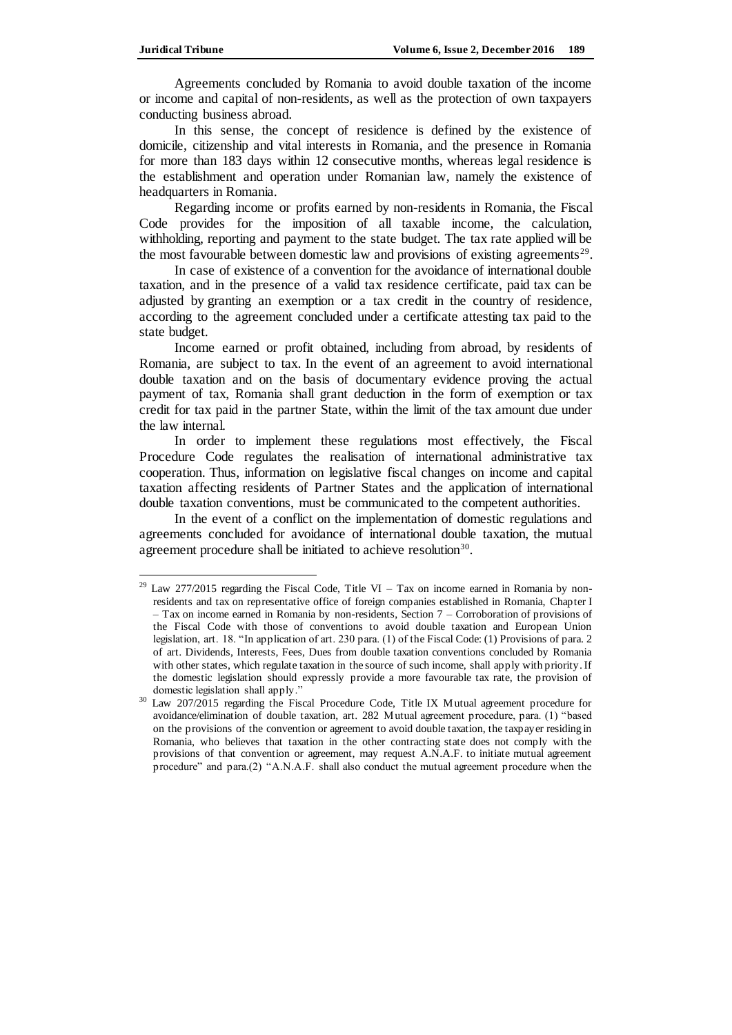Agreements concluded by Romania to avoid double taxation of the income or income and capital of non-residents, as well as the protection of own taxpayers conducting business abroad.

In this sense, the concept of residence is defined by the existence of domicile, citizenship and vital interests in Romania, and the presence in Romania for more than 183 days within 12 consecutive months, whereas legal residence is the establishment and operation under Romanian law, namely the existence of headquarters in Romania.

Regarding income or profits earned by non-residents in Romania, the Fiscal Code provides for the imposition of all taxable income, the calculation, withholding, reporting and payment to the state budget. The tax rate applied will be the most favourable between domestic law and provisions of existing agreements<sup>29</sup>.

In case of existence of a convention for the avoidance of international double taxation, and in the presence of a valid tax residence certificate, paid tax can be adjusted by granting an exemption or a tax credit in the country of residence, according to the agreement concluded under a certificate attesting tax paid to the state budget.

Income earned or profit obtained, including from abroad, by residents of Romania, are subject to tax. In the event of an agreement to avoid international double taxation and on the basis of documentary evidence proving the actual payment of tax, Romania shall grant deduction in the form of exemption or tax credit for tax paid in the partner State, within the limit of the tax amount due under the law internal.

In order to implement these regulations most effectively, the Fiscal Procedure Code regulates the realisation of international administrative tax cooperation. Thus, information on legislative fiscal changes on income and capital taxation affecting residents of Partner States and the application of international double taxation conventions, must be communicated to the competent authorities.

In the event of a conflict on the implementation of domestic regulations and agreements concluded for avoidance of international double taxation, the mutual agreement procedure shall be initiated to achieve resolution<sup>30</sup>.

<sup>&</sup>lt;sup>29</sup> Law 277/2015 regarding the Fiscal Code, Title VI – Tax on income earned in Romania by nonresidents and tax on representative office of foreign companies established in Romania, Chapter I – Tax on income earned in Romania by non-residents, Section 7 – Corroboration of provisions of the Fiscal Code with those of conventions to avoid double taxation and European Union legislation, art. 18. "In application of art. 230 para. (1) of the Fiscal Code: (1) Provisions of para. 2 of art. Dividends, Interests, Fees, Dues from double taxation conventions concluded by Romania with other states, which regulate taxation in the source of such income, shall apply with priority. If the domestic legislation should expressly provide a more favourable tax rate, the provision of domestic legislation shall apply."

Law 207/2015 regarding the Fiscal Procedure Code, Title IX Mutual agreement procedure for avoidance/elimination of double taxation, art. 282 Mutual agreement procedure, para. (1) "based on the provisions of the convention or agreement to avoid double taxation, the taxpayer residing in Romania, who believes that taxation in the other contracting state does not comply with the provisions of that convention or agreement, may request A.N.A.F. to initiate mutual agreement procedure" and para.(2) "A.N.A.F. shall also conduct the mutual agreement procedure when the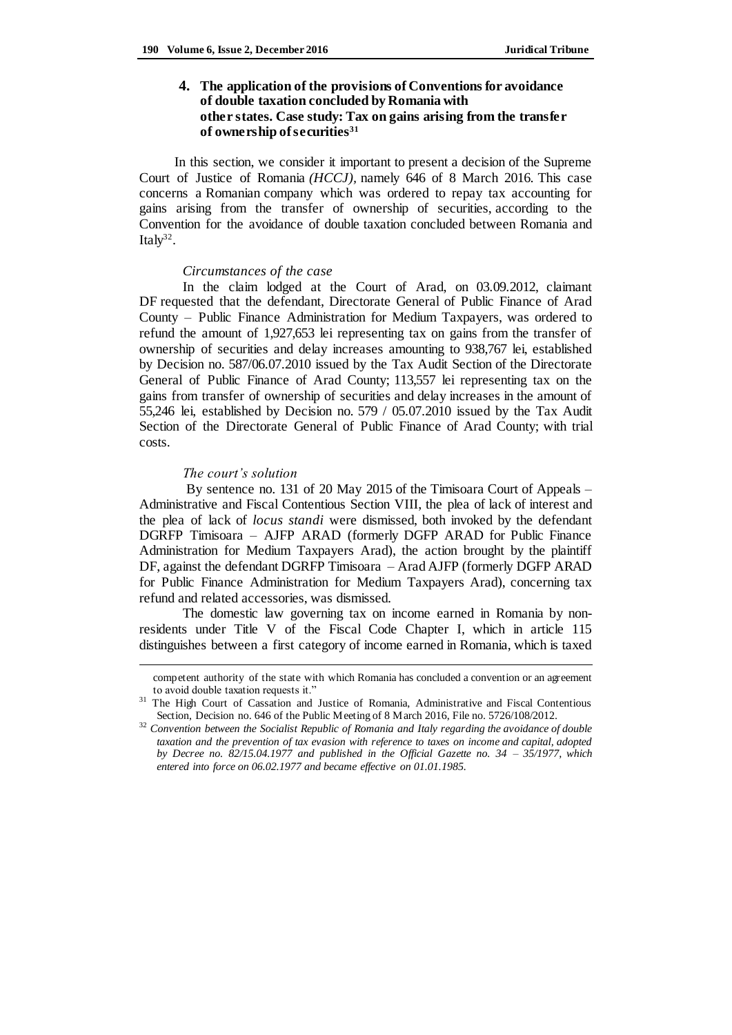# **4. The application of the provisions of Conventions for avoidance of double taxation concluded by Romania with other states. Case study: Tax on gains arising from the transfer of ownership of securities<sup>31</sup>**

In this section, we consider it important to present a decision of the Supreme Court of Justice of Romania *(HCCJ),* namely 646 of 8 March 2016. This case concerns a Romanian company which was ordered to repay tax accounting for gains arising from the transfer of ownership of securities, according to the Convention for the avoidance of double taxation concluded between Romania and Italy<sup>32</sup>.

#### *Circumstances of the case*

In the claim lodged at the Court of Arad, on 03.09.2012, claimant DF requested that the defendant, Directorate General of Public Finance of Arad County – Public Finance Administration for Medium Taxpayers, was ordered to refund the amount of 1,927,653 lei representing tax on gains from the transfer of ownership of securities and delay increases amounting to 938,767 lei, established by Decision no. 587/06.07.2010 issued by the Tax Audit Section of the Directorate General of Public Finance of Arad County; 113,557 lei representing tax on the gains from transfer of ownership of securities and delay increases in the amount of 55,246 lei, established by Decision no. 579 / 05.07.2010 issued by the Tax Audit Section of the Directorate General of Public Finance of Arad County; with trial costs.

### *The court's solution*

 $\overline{a}$ 

By sentence no. 131 of 20 May 2015 of the Timisoara Court of Appeals – Administrative and Fiscal Contentious Section VIII, the plea of lack of interest and the plea of lack of *locus standi* were dismissed, both invoked by the defendant DGRFP Timisoara – AJFP ARAD (formerly DGFP ARAD for Public Finance Administration for Medium Taxpayers Arad), the action brought by the plaintiff DF, against the defendant DGRFP Timisoara – Arad AJFP (formerly DGFP ARAD for Public Finance Administration for Medium Taxpayers Arad), concerning tax refund and related accessories, was dismissed.

The domestic law governing tax on income earned in Romania by nonresidents under Title V of the Fiscal Code Chapter I, which in article 115 distinguishes between a first category of income earned in Romania, which is taxed

competent authority of the state with which Romania has concluded a convention or an agreement to avoid double taxation requests it."

<sup>31</sup> The High Court of Cassation and Justice of Romania, Administrative and Fiscal Contentious Section, Decision no. 646 of the Public Meeting of 8 March 2016, File no. 5726/108/2012.

<sup>32</sup> *Convention between the Socialist Republic of Romania and Italy regarding the avoidance of double taxation and the prevention of tax evasion with reference to taxes on income and capital, adopted by Decree no. 82/15.04.1977 and published in the Official Gazette no. 34 – 35/1977, which entered into force on 06.02.1977 and became effective on 01.01.1985.*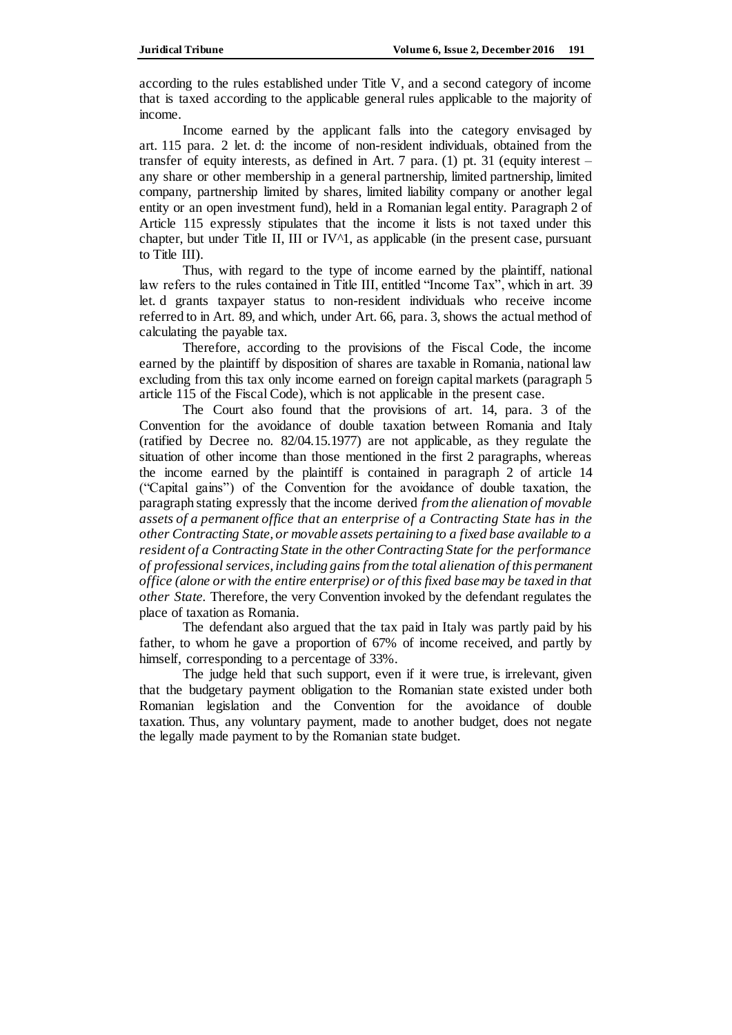according to the rules established under Title V, and a second category of income that is taxed according to the applicable general rules applicable to the majority of income.

Income earned by the applicant falls into the category envisaged by art. 115 para. 2 let. d: the income of non-resident individuals, obtained from the transfer of equity interests, as defined in Art. 7 para. (1) pt. 31 (equity interest – any share or other membership in a general partnership, limited partnership, limited company, partnership limited by shares, limited liability company or another legal entity or an open investment fund), held in a Romanian legal entity. Paragraph 2 of Article 115 expressly stipulates that the income it lists is not taxed under this chapter, but under Title II, III or  $IV^{\wedge}1$ , as applicable (in the present case, pursuant to Title III).

Thus, with regard to the type of income earned by the plaintiff, national law refers to the rules contained in Title III, entitled "Income Tax", which in art. 39 let. d grants taxpayer status to non-resident individuals who receive income referred to in Art. 89, and which, under Art. 66, para. 3, shows the actual method of calculating the payable tax.

Therefore, according to the provisions of the Fiscal Code, the income earned by the plaintiff by disposition of shares are taxable in Romania, national law excluding from this tax only income earned on foreign capital markets (paragraph 5 article 115 of the Fiscal Code), which is not applicable in the present case.

The Court also found that the provisions of art. 14, para. 3 of the Convention for the avoidance of double taxation between Romania and Italy (ratified by Decree no. 82/04.15.1977) are not applicable, as they regulate the situation of other income than those mentioned in the first 2 paragraphs, whereas the income earned by the plaintiff is contained in paragraph 2 of article 14 ("Capital gains") of the Convention for the avoidance of double taxation, the paragraph stating expressly that the income derived *from the alienation of movable assets of a permanent office that an enterprise of a Contracting State has in the other Contracting State, or movable assets pertaining to a fixed base available to a resident of a Contracting State in the other Contracting State for the performance of professional services, including gains from the total alienation of this permanent office (alone or with the entire enterprise) or of this fixed base may be taxed in that other State.* Therefore, the very Convention invoked by the defendant regulates the place of taxation as Romania.

The defendant also argued that the tax paid in Italy was partly paid by his father, to whom he gave a proportion of 67% of income received, and partly by himself, corresponding to a percentage of 33%.

The judge held that such support, even if it were true, is irrelevant, given that the budgetary payment obligation to the Romanian state existed under both Romanian legislation and the Convention for the avoidance of double taxation. Thus, any voluntary payment, made to another budget, does not negate the legally made payment to by the Romanian state budget.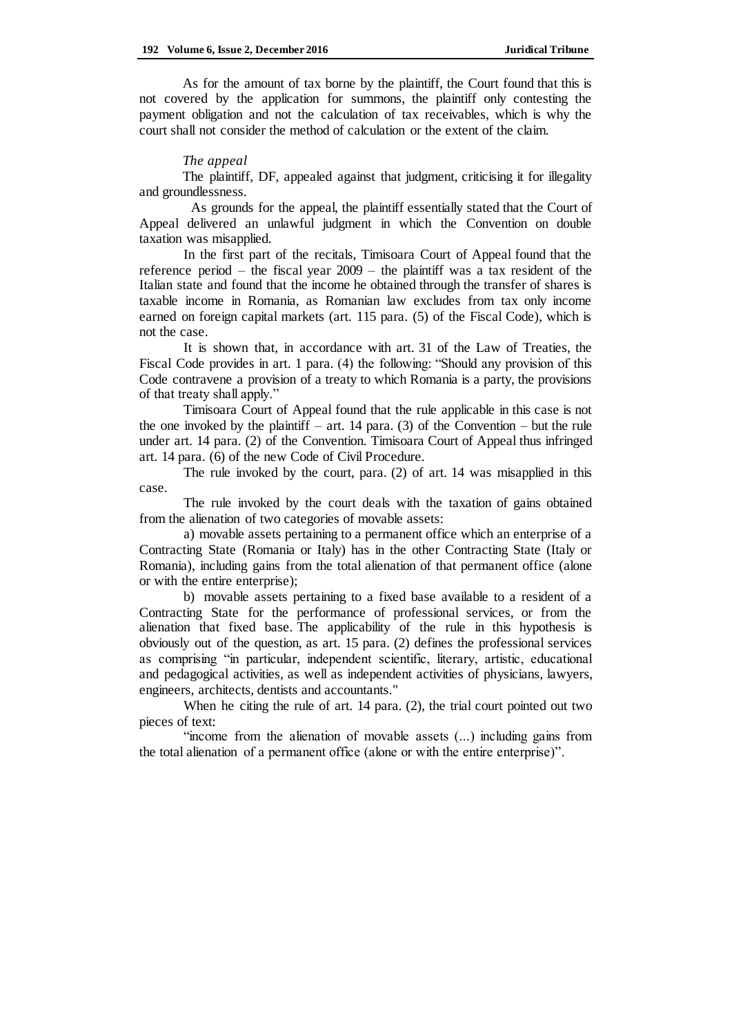As for the amount of tax borne by the plaintiff, the Court found that this is not covered by the application for summons, the plaintiff only contesting the payment obligation and not the calculation of tax receivables, which is why the court shall not consider the method of calculation or the extent of the claim.

### *The appeal*

The plaintiff, DF, appealed against that judgment, criticising it for illegality and groundlessness.

 As grounds for the appeal, the plaintiff essentially stated that the Court of Appeal delivered an unlawful judgment in which the Convention on double taxation was misapplied.

In the first part of the recitals, Timisoara Court of Appeal found that the reference period – the fiscal year 2009 – the plaintiff was a tax resident of the Italian state and found that the income he obtained through the transfer of shares is taxable income in Romania, as Romanian law excludes from tax only income earned on foreign capital markets (art. 115 para. (5) of the Fiscal Code), which is not the case.

It is shown that, in accordance with art. 31 of the Law of Treaties, the Fiscal Code provides in art. 1 para. (4) the following: "Should any provision of this Code contravene a provision of a treaty to which Romania is a party, the provisions of that treaty shall apply."

Timisoara Court of Appeal found that the rule applicable in this case is not the one invoked by the plaintiff – art. 14 para. (3) of the Convention – but the rule under art. 14 para. (2) of the Convention. Timisoara Court of Appeal thus infringed art. 14 para. (6) of the new Code of Civil Procedure.

The rule invoked by the court, para. (2) of art. 14 was misapplied in this case.

The rule invoked by the court deals with the taxation of gains obtained from the alienation of two categories of movable assets:

a) movable assets pertaining to a permanent office which an enterprise of a Contracting State (Romania or Italy) has in the other Contracting State (Italy or Romania), including gains from the total alienation of that permanent office (alone or with the entire enterprise);

b) movable assets pertaining to a fixed base available to a resident of a Contracting State for the performance of professional services, or from the alienation that fixed base. The applicability of the rule in this hypothesis is obviously out of the question, as art. 15 para. (2) defines the professional services as comprising "in particular, independent scientific, literary, artistic, educational and pedagogical activities, as well as independent activities of physicians, lawyers, engineers, architects, dentists and accountants."

When he citing the rule of art. 14 para. (2), the trial court pointed out two pieces of text:

"income from the alienation of movable assets (...) including gains from the total alienation of a permanent office (alone or with the entire enterprise)".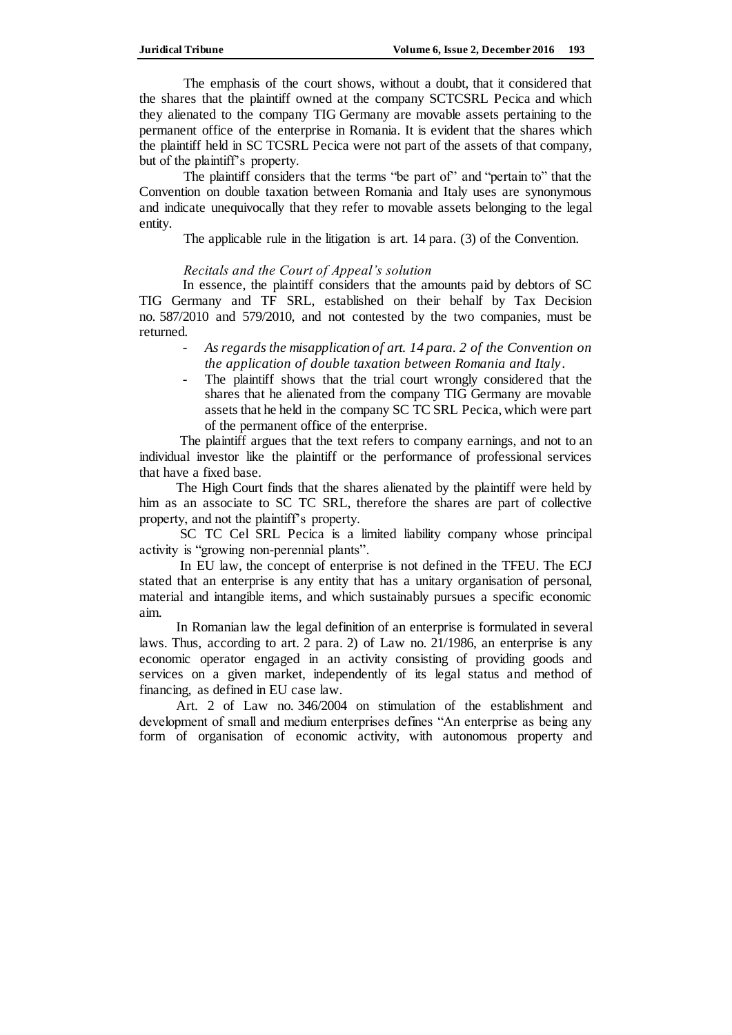The emphasis of the court shows, without a doubt, that it considered that the shares that the plaintiff owned at the company SCTCSRL Pecica and which they alienated to the company TIG Germany are movable assets pertaining to the permanent office of the enterprise in Romania. It is evident that the shares which the plaintiff held in SC TCSRL Pecica were not part of the assets of that company, but of the plaintiff's property.

The plaintiff considers that the terms "be part of" and "pertain to" that the Convention on double taxation between Romania and Italy uses are synonymous and indicate unequivocally that they refer to movable assets belonging to the legal entity.

The applicable rule in the litigation is art. 14 para. (3) of the Convention.

# *Recitals and the Court of Appeal's solution*

In essence, the plaintiff considers that the amounts paid by debtors of SC TIG Germany and TF SRL, established on their behalf by Tax Decision no. 587/2010 and 579/2010, and not contested by the two companies, must be returned.

- *As regards the misapplication of art. 14 para. 2 of the Convention on the application of double taxation between Romania and Italy*.
- The plaintiff shows that the trial court wrongly considered that the shares that he alienated from the company TIG Germany are movable assets that he held in the company SC TC SRL Pecica, which were part of the permanent office of the enterprise.

 The plaintiff argues that the text refers to company earnings, and not to an individual investor like the plaintiff or the performance of professional services that have a fixed base.

 The High Court finds that the shares alienated by the plaintiff were held by him as an associate to SC TC SRL, therefore the shares are part of collective property, and not the plaintiff's property.

 SC TC Cel SRL Pecica is a limited liability company whose principal activity is "growing non-perennial plants".

 In EU law, the concept of enterprise is not defined in the TFEU. The ECJ stated that an enterprise is any entity that has a unitary organisation of personal, material and intangible items, and which sustainably pursues a specific economic aim.

 In Romanian law the legal definition of an enterprise is formulated in several laws. Thus, according to art. 2 para. 2) of Law no. 21/1986, an enterprise is any economic operator engaged in an activity consisting of providing goods and services on a given market, independently of its legal status and method of financing, as defined in EU case law.

 Art. 2 of Law no. 346/2004 on stimulation of the establishment and development of small and medium enterprises defines "An enterprise as being any form of organisation of economic activity, with autonomous property and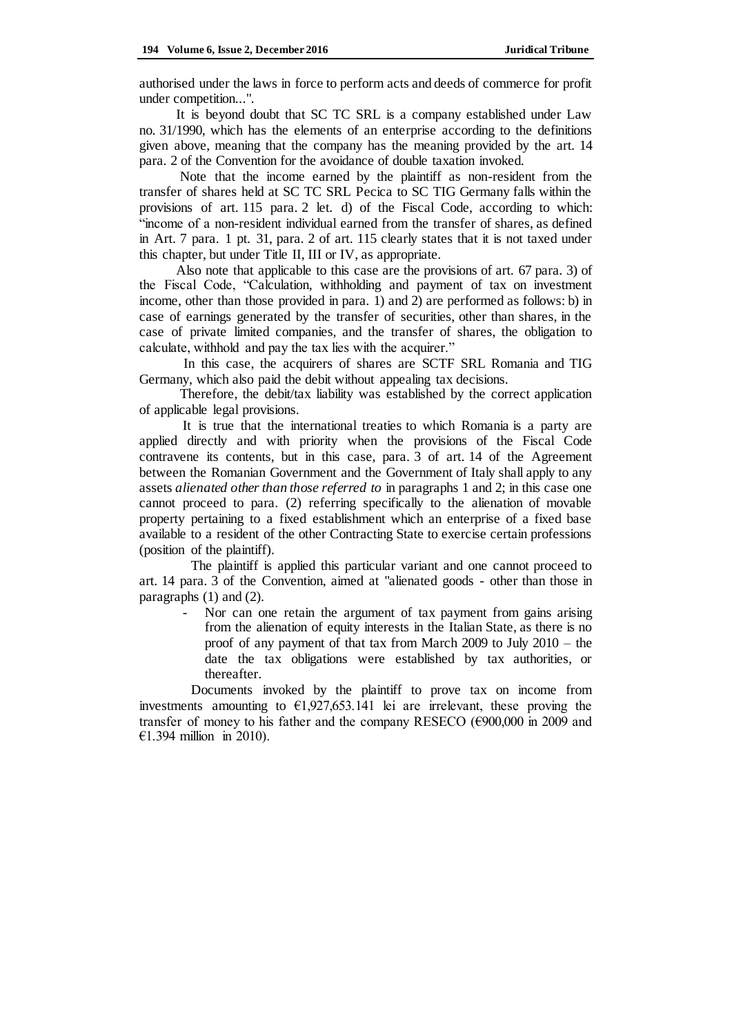authorised under the laws in force to perform acts and deeds of commerce for profit under competition...".

 It is beyond doubt that SC TC SRL is a company established under Law no. 31/1990, which has the elements of an enterprise according to the definitions given above, meaning that the company has the meaning provided by the art. 14 para. 2 of the Convention for the avoidance of double taxation invoked.

 Note that the income earned by the plaintiff as non-resident from the transfer of shares held at SC TC SRL Pecica to SC TIG Germany falls within the provisions of art. 115 para. 2 let. d) of the Fiscal Code, according to which: "income of a non-resident individual earned from the transfer of shares, as defined in Art. 7 para. 1 pt. 31, para. 2 of art. 115 clearly states that it is not taxed under this chapter, but under Title II, III or IV, as appropriate.

 Also note that applicable to this case are the provisions of art. 67 para. 3) of the Fiscal Code, "Calculation, withholding and payment of tax on investment income, other than those provided in para. 1) and 2) are performed as follows: b) in case of earnings generated by the transfer of securities, other than shares, in the case of private limited companies, and the transfer of shares, the obligation to calculate, withhold and pay the tax lies with the acquirer."

In this case, the acquirers of shares are SCTF SRL Romania and TIG Germany, which also paid the debit without appealing tax decisions.

 Therefore, the debit/tax liability was established by the correct application of applicable legal provisions.

It is true that the international treaties to which Romania is a party are applied directly and with priority when the provisions of the Fiscal Code contravene its contents, but in this case, para. 3 of art. 14 of the Agreement between the Romanian Government and the Government of Italy shall apply to any assets *alienated other than those referred to* in paragraphs 1 and 2; in this case one cannot proceed to para. (2) referring specifically to the alienation of movable property pertaining to a fixed establishment which an enterprise of a fixed base available to a resident of the other Contracting State to exercise certain professions (position of the plaintiff).

 The plaintiff is applied this particular variant and one cannot proceed to art. 14 para. 3 of the Convention, aimed at "alienated goods - other than those in paragraphs (1) and (2).

> Nor can one retain the argument of tax payment from gains arising from the alienation of equity interests in the Italian State, as there is no proof of any payment of that tax from March 2009 to July 2010 – the date the tax obligations were established by tax authorities, or thereafter.

 Documents invoked by the plaintiff to prove tax on income from investments amounting to  $\epsilon$ 1,927,653.141 lei are irrelevant, these proving the transfer of money to his father and the company RESECO ( $\epsilon$ 900,000 in 2009 and €1.394 million in 2010).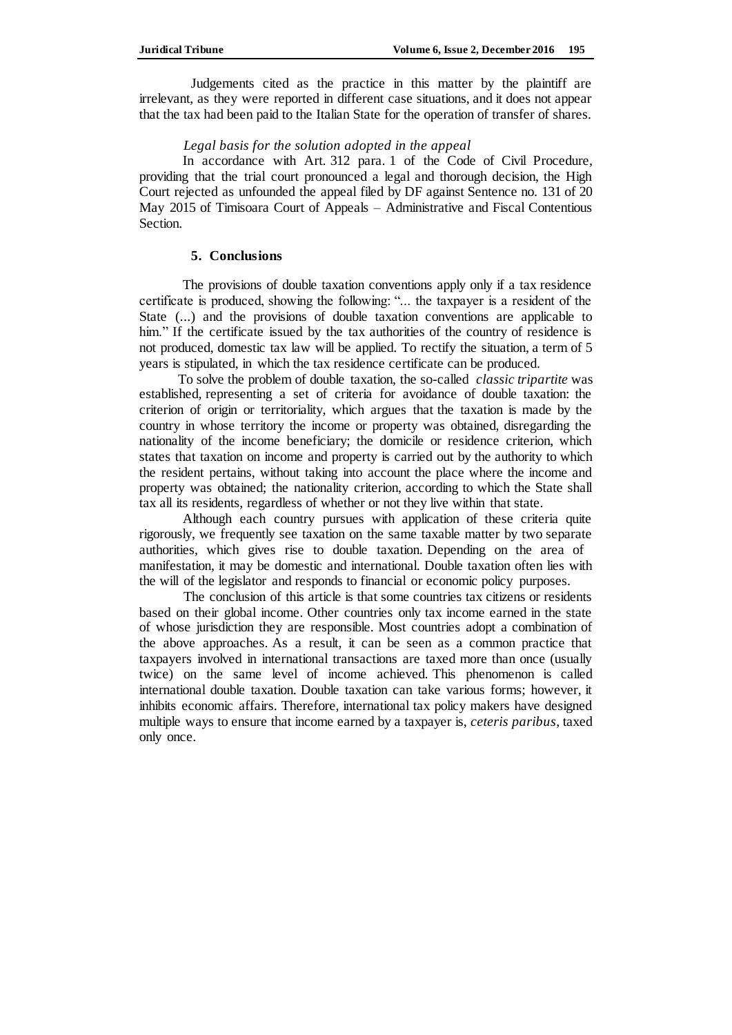Judgements cited as the practice in this matter by the plaintiff are irrelevant, as they were reported in different case situations, and it does not appear that the tax had been paid to the Italian State for the operation of transfer of shares.

# *Legal basis for the solution adopted in the appeal*

In accordance with Art. 312 para. 1 of the Code of Civil Procedure, providing that the trial court pronounced a legal and thorough decision, the High Court rejected as unfounded the appeal filed by DF against Sentence no. 131 of 20 May 2015 of Timisoara Court of Appeals – Administrative and Fiscal Contentious Section.

### **5. Conclusions**

The provisions of double taxation conventions apply only if a tax residence certificate is produced, showing the following: "... the taxpayer is a resident of the State (...) and the provisions of double taxation conventions are applicable to him." If the certificate issued by the tax authorities of the country of residence is not produced, domestic tax law will be applied. To rectify the situation, a term of 5 years is stipulated, in which the tax residence certificate can be produced.

 To solve the problem of double taxation, the so-called *classic tripartite* was established*,* representing a set of criteria for avoidance of double taxation: the criterion of origin or territoriality, which argues that the taxation is made by the country in whose territory the income or property was obtained, disregarding the nationality of the income beneficiary; the domicile or residence criterion, which states that taxation on income and property is carried out by the authority to which the resident pertains, without taking into account the place where the income and property was obtained; the nationality criterion, according to which the State shall tax all its residents, regardless of whether or not they live within that state.

Although each country pursues with application of these criteria quite rigorously, we frequently see taxation on the same taxable matter by two separate authorities, which gives rise to double taxation. Depending on the area of manifestation, it may be domestic and international. Double taxation often lies with the will of the legislator and responds to financial or economic policy purposes.

 The conclusion of this article is that some countries tax citizens or residents based on their global income. Other countries only tax income earned in the state of whose jurisdiction they are responsible. Most countries adopt a combination of the above approaches. As a result, it can be seen as a common practice that taxpayers involved in international transactions are taxed more than once (usually twice) on the same level of income achieved. This phenomenon is called international double taxation. Double taxation can take various forms; however, it inhibits economic affairs. Therefore, international tax policy makers have designed multiple ways to ensure that income earned by a taxpayer is, *ceteris paribus*, taxed only once.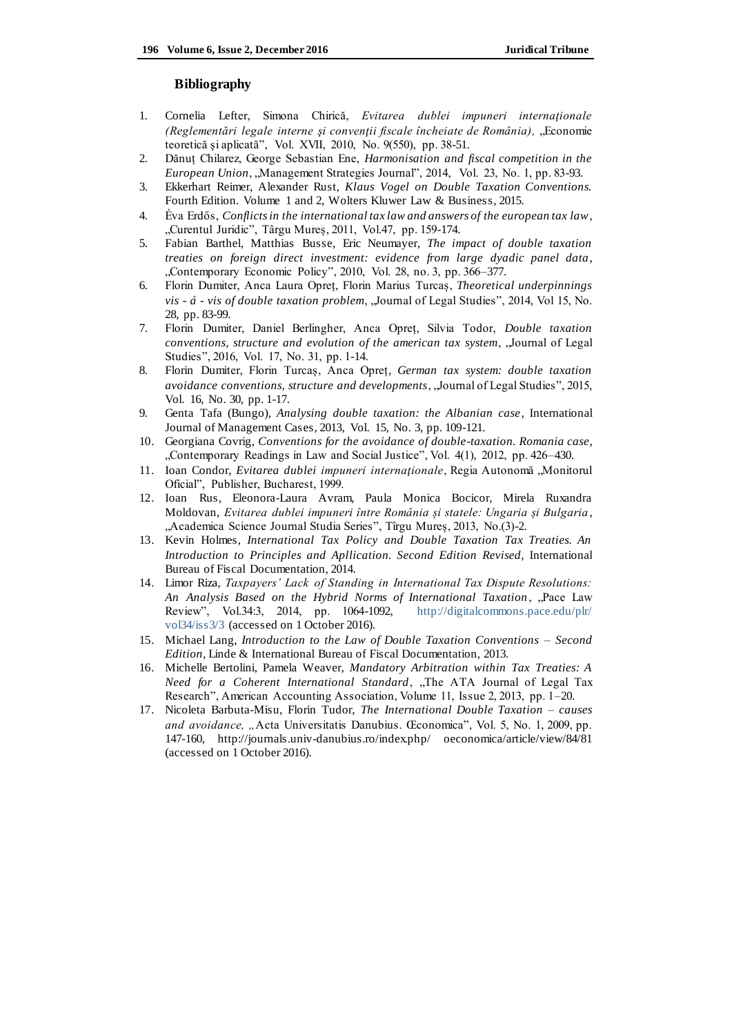#### **Bibliography**

- 1. Cornelia Lefter, Simona Chirică, *Evitarea dublei impuneri internaţionale (Reglementări legale interne și convenții fiscale încheiate de România),* "Economie teoretică şi aplicată", Vol. XVII, 2010, No. 9(550), pp. 38-51.
- 2. Dănuț Chilarez, George Sebastian Ene, *Harmonisation and fiscal competition in the European Union*, "Management Strategies Journal", 2014, Vol. 23, No. 1, pp. 83-93.
- 3. Ekkerhart Reimer, Alexander Rust, *Klaus Vogel on Double Taxation Conventions.*  Fourth Edition. Volume 1 and 2, Wolters Kluwer Law & Business, 2015.
- 4. Éva Erdős, *Conflicts in the international tax law and answers of the european tax law*, "Curentul Juridic", Târgu Mureș, 2011, Vol.47, pp. 159-174.
- 5. Fabian Barthel, Matthias Busse, Eric Neumayer, *The impact of double taxation treaties on foreign direct investment: evidence from large dyadic panel data*, "Contemporary Economic Policy", 2010, Vol. 28, no. 3, pp. 366–377.
- 6. Florin Dumiter, Anca Laura Opreț, Florin Marius Turcaș, *Theoretical underpinnings vis - á - vis of double taxation problem*, "Journal of Legal Studies", 2014, Vol 15, No. 28, pp. 83-99.
- 7. Florin Dumiter, Daniel Berlingher, Anca Opreț, Silvia Todor, *Double taxation conventions, structure and evolution of the american tax system*, "Journal of Legal Studies", 2016, Vol. 17, No. 31, pp. 1-14.
- 8. Florin Dumiter, Florin Turcaș, Anca Opreț*, German tax system: double taxation avoidance conventions, structure and developments*, "Journal of Legal Studies", 2015, Vol. 16, No. 30, pp. 1-17.
- 9. Genta Tafa (Bungo), *Analysing double taxation: the Albanian case*, International Journal of Management Cases, 2013, Vol. 15, No. 3, pp. 109-121.
- 10. Georgiana Covrig, *Conventions for the avoidance of double-taxation. Romania case*, "Contemporary Readings in Law and Social Justice", Vol. 4(1), 2012, pp. 426-430.
- 11. Ioan Condor, *Evitarea dublei impuneri internaţionale*, Regia Autonomă "Monitorul Oficial", Publisher, Bucharest, 1999.
- 12. Ioan Rus, Eleonora-Laura Avram, Paula Monica Bocicor, Mirela Ruxandra Moldovan, *Evitarea dublei impuneri între România și statele: Ungaria și Bulgaria* , "Academica Science Journal Studia Series", Tîrgu Mureș, 2013, No.(3)-2.
- 13. Kevin Holmes, *International Tax Policy and Double Taxation Tax Treaties. An Introduction to Principles and Apllication. Second Edition Revised,* International Bureau of Fiscal Documentation, 2014.
- 14. Limor Riza, *Taxpayers' Lack of Standing in International Tax Dispute Resolutions:*  An Analysis Based on the Hybrid Norms of International Taxation, "Pace Law Review", Vol.34:3, 2014, pp. 1064-1092, [http://digitalcommons.pace.edu/plr/](http://digitalcommons.pace.edu/plr/%20vol34/iss3/3)  [vol34/iss3/3](http://digitalcommons.pace.edu/plr/%20vol34/iss3/3) (accessed on 1 October 2016).
- 15. Michael Lang, *Introduction to the Law of Double Taxation Conventions – Second Edition,* Linde & International Bureau of Fiscal Documentation, 2013.
- 16. Michelle Bertolini, Pamela Weaver, *Mandatory Arbitration within Tax Treaties: A Need for a Coherent International Standard*, "The ATA Journal of Legal Tax Research", American Accounting Association, Volume 11, Issue 2, 2013, pp. 1–20.
- 17. Nicoleta Barbuta-Misu, Florin Tudor, *The International Double Taxation – causes and avoidance, "*Acta Universitatis Danubius. Œconomica", Vol. 5, No. 1, 2009, pp. 147-160, [http://journals.univ-danubius.ro/index.php/ oeconomica/article/view/84/81](http://journals.univ-danubius.ro/index.php/%20oeconomica/article/view/84/81) (accessed on 1 October 2016).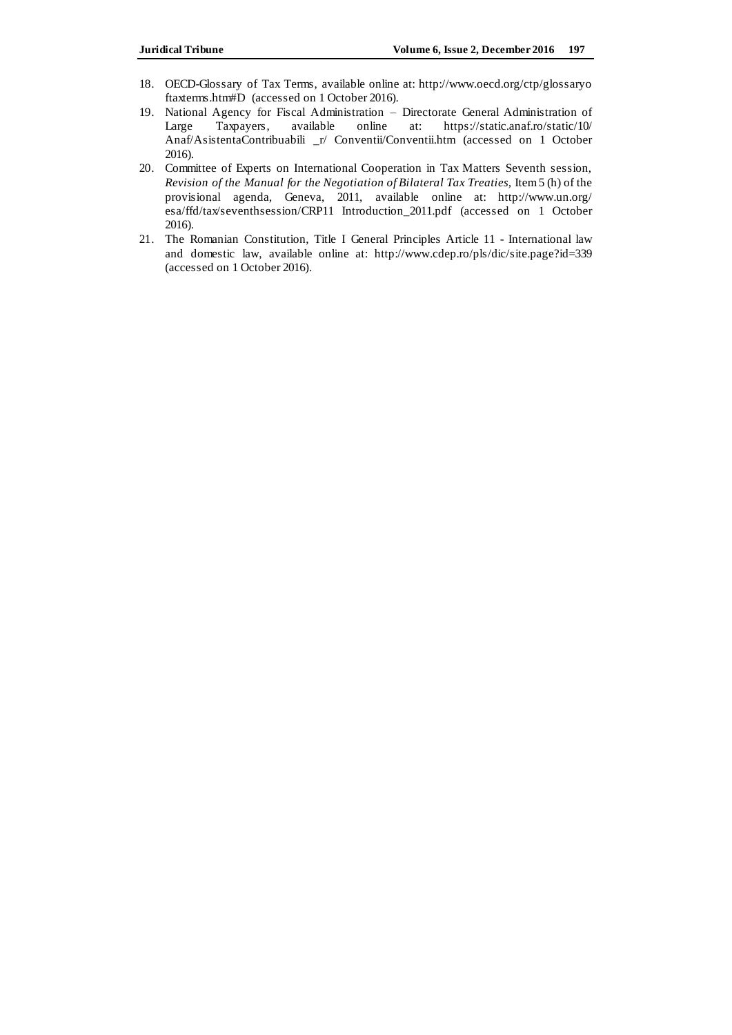- 18. OECD-Glossary of Tax Terms, available online at: [http://www.oecd.org/ctp/glossaryo](http://www.oecd.org/ctp/glossaryo%20ftaxterms.htm#D)  [ftaxterms.htm#D](http://www.oecd.org/ctp/glossaryo%20ftaxterms.htm#D) (accessed on 1 October 2016).
- 19. National Agency for Fiscal Administration Directorate General Administration of Large Taxpayers, available online at: [https://static.anaf.ro/static/10/](https://static.anaf.ro/static/10/Anaf/AsistentaContribuabili%20_r/%20Conventii/Conventii.htm) [Anaf/AsistentaContribuabili \\_r/ Conventii/Conventii.htm](https://static.anaf.ro/static/10/Anaf/AsistentaContribuabili%20_r/%20Conventii/Conventii.htm) (accessed on 1 October 2016).
- 20. Committee of Experts on International Cooperation in Tax Matters Seventh session, *Revision of the Manual for the Negotiation of Bilateral Tax Treaties, Item 5 (h) of the* provisional agenda, Geneva, 2011, available online at: [http://www.un.org/](http://www.un.org/esa/ffd/tax/seventhsession/CRP11%20Introduction_2011.pdf) [esa/ffd/tax/seventhsession/CRP11 Introduction\\_2011.pdf](http://www.un.org/esa/ffd/tax/seventhsession/CRP11%20Introduction_2011.pdf) (accessed on 1 October 2016).
- 21. The Romanian Constitution, Title I General Principles Article 11 International law and domestic law, available online at: <http://www.cdep.ro/pls/dic/site.page?id=339> (accessed on 1 October 2016).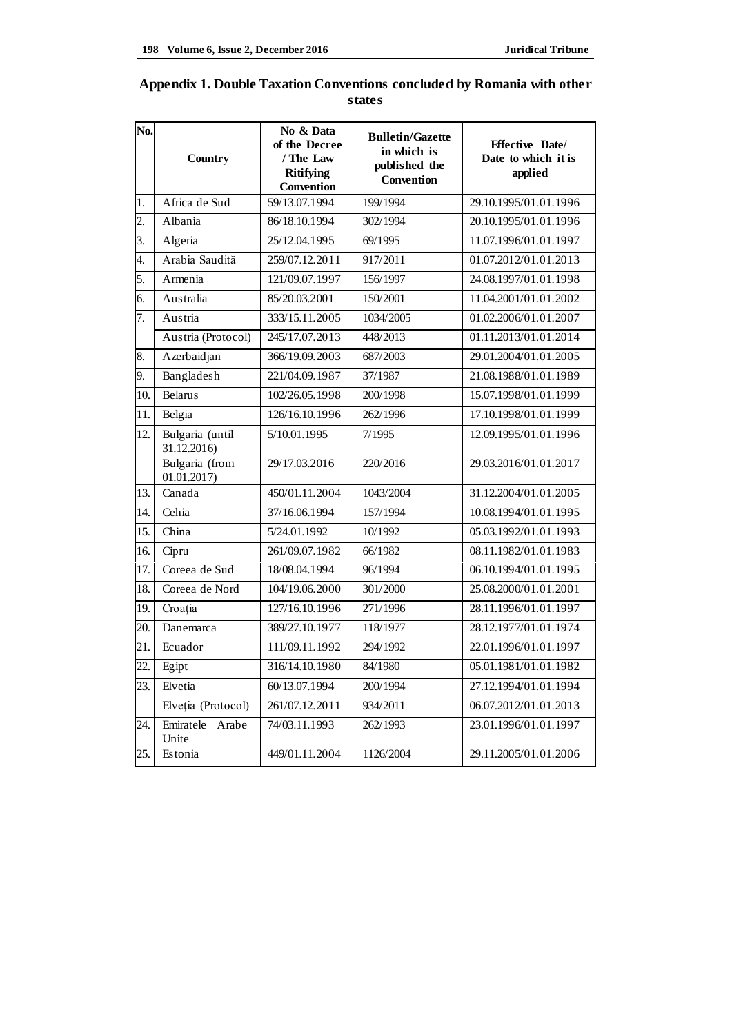| No.              | Country                        | No & Data<br>of the Decree<br>/ The Law<br><b>Ritifying</b><br><b>Convention</b> | <b>Bulletin/Gazette</b><br>in which is<br>published the<br>Convention | <b>Effective Date/</b><br>Date to which it is<br>applied |
|------------------|--------------------------------|----------------------------------------------------------------------------------|-----------------------------------------------------------------------|----------------------------------------------------------|
| 1.               | Africa de Sud                  | 59/13.07.1994                                                                    | 199/1994                                                              | 29.10.1995/01.01.1996                                    |
| $\overline{2}$ . | Albania                        | 86/18.10.1994                                                                    | 302/1994                                                              | 20.10.1995/01.01.1996                                    |
| $\overline{3}$ . | Algeria                        | 25/12.04.1995                                                                    | 69/1995                                                               | 11.07.1996/01.01.1997                                    |
| 4.               | Arabia Saudită                 | 259/07.12.2011                                                                   | 917/2011                                                              | 01.07.2012/01.01.2013                                    |
| 5.               | Armenia                        | 121/09.07.1997                                                                   | 156/1997                                                              | 24.08.1997/01.01.1998                                    |
| 6.               | Australia                      | 85/20.03.2001                                                                    | 150/2001                                                              | 11.04.2001/01.01.2002                                    |
| 7.               | Austria                        | 333/15.11.2005                                                                   | 1034/2005                                                             | 01.02.2006/01.01.2007                                    |
|                  | Austria (Protocol)             | 245/17.07.2013                                                                   | 448/2013                                                              | 01.11.2013/01.01.2014                                    |
| 8.               | Azerbaidjan                    | 366/19.09.2003                                                                   | 687/2003                                                              | 29.01.2004/01.01.2005                                    |
| 9.               | Bangladesh                     | 221/04.09.1987                                                                   | 37/1987                                                               | 21.08.1988/01.01.1989                                    |
| 10.              | <b>Belarus</b>                 | 102/26.05.1998                                                                   | 200/1998                                                              | 15.07.1998/01.01.1999                                    |
| 11.              | Belgia                         | 126/16.10.1996                                                                   | 262/1996                                                              | 17.10.1998/01.01.1999                                    |
| 12.              | Bulgaria (until<br>31.12.2016) | 5/10.01.1995                                                                     | 7/1995                                                                | 12.09.1995/01.01.1996                                    |
|                  | Bulgaria (from<br>01.01.2017   | 29/17.03.2016                                                                    | 220/2016                                                              | 29.03.2016/01.01.2017                                    |
| 13.              | Canada                         | 450/01.11.2004                                                                   | 1043/2004                                                             | 31.12.2004/01.01.2005                                    |
| 14.              | Cehia                          | 37/16.06.1994                                                                    | 157/1994                                                              | 10.08.1994/01.01.1995                                    |
| 15.              | China                          | 5/24.01.1992                                                                     | 10/1992                                                               | 05.03.1992/01.01.1993                                    |
| 16.              | Cipru                          | 261/09.07.1982                                                                   | 66/1982                                                               | 08.11.1982/01.01.1983                                    |
| 17.              | Coreea de Sud                  | 18/08.04.1994                                                                    | 96/1994                                                               | 06.10.1994/01.01.1995                                    |
| 18.              | Coreea de Nord                 | 104/19.06.2000                                                                   | 301/2000                                                              | 25.08.2000/01.01.2001                                    |
| 19.              | Croația                        | 127/16.10.1996                                                                   | 271/1996                                                              | 28.11.1996/01.01.1997                                    |
| 20.              | Danemarca                      | 389/27.10.1977                                                                   | 118/1977                                                              | 28.12.1977/01.01.1974                                    |
| 21.              | Ecuador                        | 111/09.11.1992                                                                   | 294/1992                                                              | 22.01.1996/01.01.1997                                    |
| 22.              | Egipt                          | 316/14.10.1980                                                                   | 84/1980                                                               | 05.01.1981/01.01.1982                                    |
| 23.              | Elvetia                        | 60/13.07.1994                                                                    | 200/1994                                                              | 27.12.1994/01.01.1994                                    |
|                  | Elveția (Protocol)             | 261/07.12.2011                                                                   | 934/2011                                                              | 06.07.2012/01.01.2013                                    |
| 24.              | Emiratele<br>Arabe<br>Unite    | 74/03.11.1993                                                                    | 262/1993                                                              | 23.01.1996/01.01.1997                                    |
| 25.              | Estonia                        | 449/01.11.2004                                                                   | 1126/2004                                                             | 29.11.2005/01.01.2006                                    |

| Appendix 1. Double Taxation Conventions concluded by Romania with other |  |
|-------------------------------------------------------------------------|--|
| states                                                                  |  |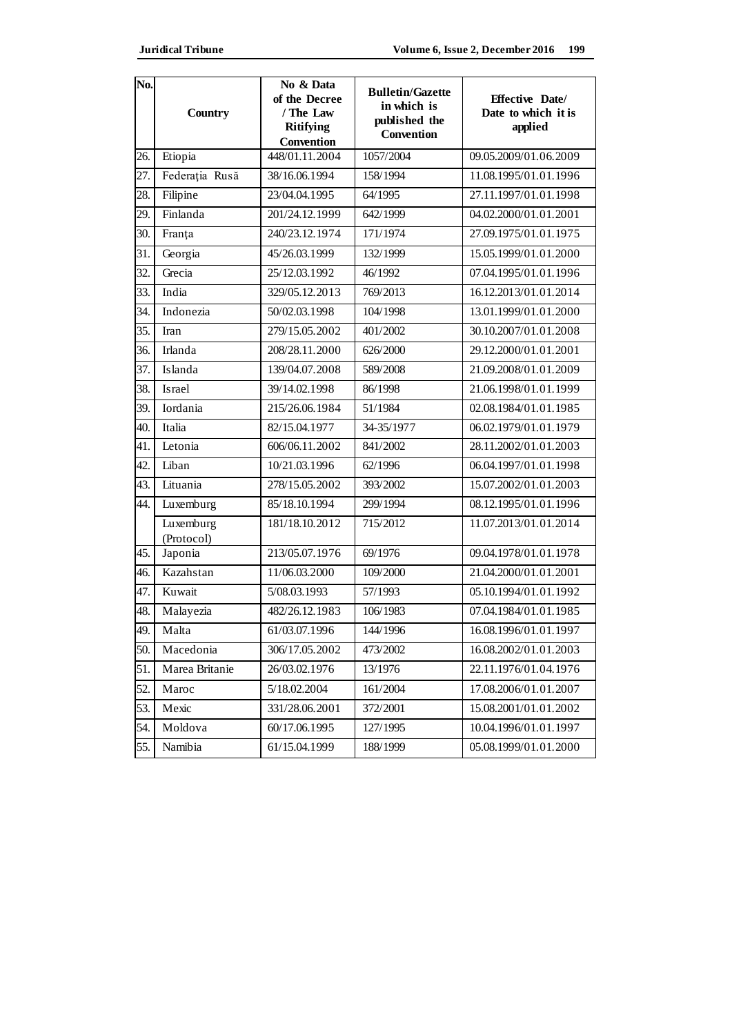| No. | <b>Country</b>          | No & Data<br>of the Decree<br>/ The Law<br><b>Ritifying</b><br>Convention | <b>Bulletin/Gazette</b><br>in which is<br>published the<br>Convention | <b>Effective Date/</b><br>Date to which it is<br>applied |
|-----|-------------------------|---------------------------------------------------------------------------|-----------------------------------------------------------------------|----------------------------------------------------------|
| 26. | Etiopia                 | 448/01.11.2004                                                            | 1057/2004                                                             | 09.05.2009/01.06.2009                                    |
| 27. | Federația Rusă          | 38/16.06.1994                                                             | 158/1994                                                              | 11.08.1995/01.01.1996                                    |
| 28. | Filipine                | 23/04.04.1995                                                             | 64/1995                                                               | 27.11.1997/01.01.1998                                    |
| 29. | Finlanda                | 201/24.12.1999                                                            | 642/1999                                                              | 04.02.2000/01.01.2001                                    |
| 30. | Franța                  | 240/23.12.1974                                                            | 171/1974                                                              | 27.09.1975/01.01.1975                                    |
| 31. | Georgia                 | 45/26.03.1999                                                             | 132/1999                                                              | 15.05.1999/01.01.2000                                    |
| 32. | Grecia                  | 25/12.03.1992                                                             | 46/1992                                                               | 07.04.1995/01.01.1996                                    |
| 33. | India                   | 329/05.12.2013                                                            | 769/2013                                                              | 16.12.2013/01.01.2014                                    |
| 34. | Indonezia               | 50/02.03.1998                                                             | 104/1998                                                              | 13.01.1999/01.01.2000                                    |
| 35. | Iran                    | 279/15.05.2002                                                            | 401/2002                                                              | 30.10.2007/01.01.2008                                    |
| 36. | Irlanda                 | 208/28.11.2000                                                            | 626/2000                                                              | 29.12.2000/01.01.2001                                    |
| 37. | Islanda                 | 139/04.07.2008                                                            | 589/2008                                                              | 21.09.2008/01.01.2009                                    |
| 38. | Israel                  | 39/14.02.1998                                                             | 86/1998                                                               | 21.06.1998/01.01.1999                                    |
| 39. | Iordania                | 215/26.06.1984                                                            | 51/1984                                                               | 02.08.1984/01.01.1985                                    |
| 40. | Italia                  | 82/15.04.1977                                                             | 34-35/1977                                                            | 06.02.1979/01.01.1979                                    |
| 41. | Letonia                 | 606/06.11.2002                                                            | 841/2002                                                              | 28.11.2002/01.01.2003                                    |
| 42. | Liban                   | 10/21.03.1996                                                             | 62/1996                                                               | 06.04.1997/01.01.1998                                    |
| 43. | Lituania                | 278/15.05.2002                                                            | 393/2002                                                              | 15.07.2002/01.01.2003                                    |
| 44. | Luxemburg               | 85/18.10.1994                                                             | 299/1994                                                              | 08.12.1995/01.01.1996                                    |
|     | Luxemburg<br>(Protocol) | 181/18.10.2012                                                            | 715/2012                                                              | 11.07.2013/01.01.2014                                    |
| 45. | Japonia                 | 213/05.07.1976                                                            | 69/1976                                                               | 09.04.1978/01.01.1978                                    |
| 46. | Kazahstan               | 11/06.03.2000                                                             | 109/2000                                                              | 21.04.2000/01.01.2001                                    |
| 47. | Kuwait                  | 5/08.03.1993                                                              | 57/1993                                                               | 05.10.1994/01.01.1992                                    |
| 48. | Malayezia               | 482/26.12.1983                                                            | 106/1983                                                              | 07.04.1984/01.01.1985                                    |
| 49. | Malta                   | 61/03.07.1996                                                             | 144/1996                                                              | 16.08.1996/01.01.1997                                    |
| 50. | Macedonia               | 306/17.05.2002                                                            | 473/2002                                                              | 16.08.2002/01.01.2003                                    |
| 51. | Marea Britanie          | 26/03.02.1976                                                             | 13/1976                                                               | 22.11.1976/01.04.1976                                    |
| 52. | Maroc                   | 5/18.02.2004                                                              | 161/2004                                                              | 17.08.2006/01.01.2007                                    |
| 53. | Mexic                   | 331/28.06.2001                                                            | 372/2001                                                              | 15.08.2001/01.01.2002                                    |
| 54. | Moldova                 | 60/17.06.1995                                                             | 127/1995                                                              | 10.04.1996/01.01.1997                                    |
| 55. | Namibia                 | 61/15.04.1999                                                             | 188/1999                                                              | 05.08.1999/01.01.2000                                    |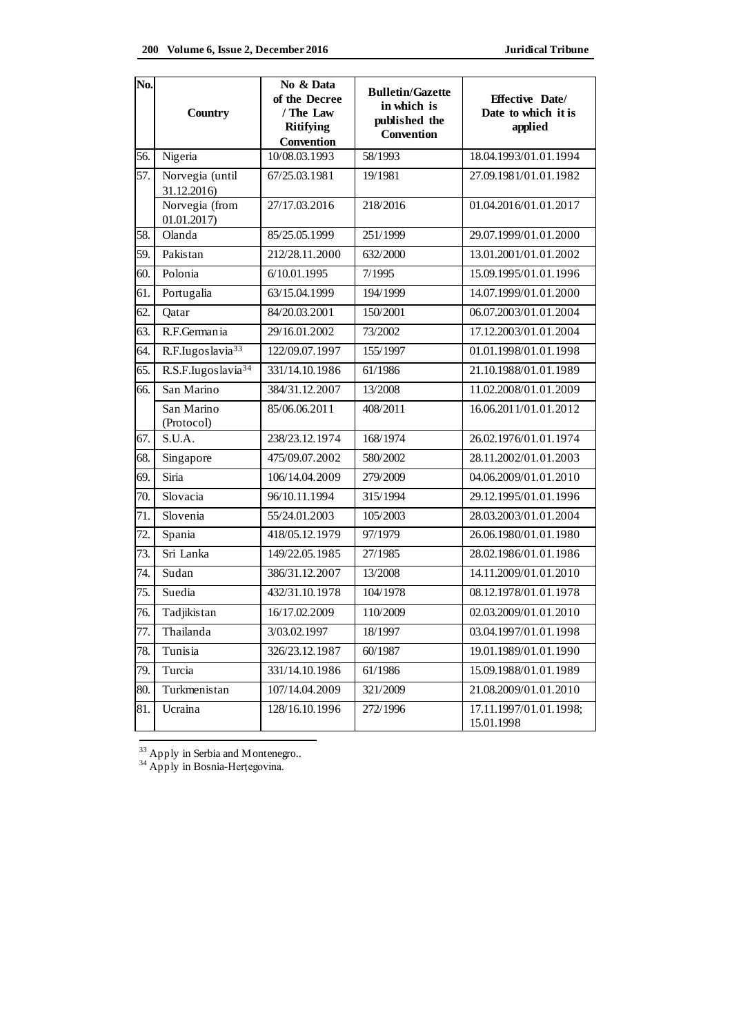| No. | <b>Country</b>                 | No & Data<br>of the Decree<br>/ The Law<br><b>Ritifying</b><br>Convention | <b>Bulletin/Gazette</b><br>in which is<br>published the<br>Convention | <b>Effective Date/</b><br>Date to which it is<br>applied |
|-----|--------------------------------|---------------------------------------------------------------------------|-----------------------------------------------------------------------|----------------------------------------------------------|
| 56. | Nigeria                        | 10/08.03.1993                                                             | 58/1993                                                               | 18.04.1993/01.01.1994                                    |
| 57. | Norvegia (until<br>31.12.2016) | 67/25.03.1981                                                             | 19/1981                                                               | 27.09.1981/01.01.1982                                    |
|     | Norvegia (from<br>01.01.2017   | 27/17.03.2016                                                             | 218/2016                                                              | 01.04.2016/01.01.2017                                    |
| 58. | Olanda                         | 85/25.05.1999                                                             | 251/1999                                                              | 29.07.1999/01.01.2000                                    |
| 59. | Pakistan                       | 212/28.11.2000                                                            | 632/2000                                                              | 13.01.2001/01.01.2002                                    |
| 60. | Polonia                        | 6/10.01.1995                                                              | 7/1995                                                                | 15.09.1995/01.01.1996                                    |
| 61. | Portugalia                     | 63/15.04.1999                                                             | 194/1999                                                              | 14.07.1999/01.01.2000                                    |
| 62. | Qatar                          | 84/20.03.2001                                                             | 150/2001                                                              | 06.07.2003/01.01.2004                                    |
| 63. | R.F.Germania                   | 29/16.01.2002                                                             | 73/2002                                                               | 17.12.2003/01.01.2004                                    |
| 64. | R.F.Iugoslavia <sup>33</sup>   | 122/09.07.1997                                                            | 155/1997                                                              | 01.01.1998/01.01.1998                                    |
| 65. | R.S.F.Iugoslavia <sup>34</sup> | 331/14.10.1986                                                            | 61/1986                                                               | 21.10.1988/01.01.1989                                    |
| 66. | San Marino                     | 384/31.12.2007                                                            | 13/2008                                                               | 11.02.2008/01.01.2009                                    |
|     | San Marino<br>(Protocol)       | 85/06.06.2011                                                             | 408/2011                                                              | 16.06.2011/01.01.2012                                    |
| 67. | S.U.A.                         | 238/23.12.1974                                                            | 168/1974                                                              | 26.02.1976/01.01.1974                                    |
| 68. | Singapore                      | 475/09.07.2002                                                            | 580/2002                                                              | 28.11.2002/01.01.2003                                    |
| 69. | Siria                          | 106/14.04.2009                                                            | 279/2009                                                              | 04.06.2009/01.01.2010                                    |
| 70. | Slovacia                       | 96/10.11.1994                                                             | 315/1994                                                              | 29.12.1995/01.01.1996                                    |
| 71. | Slovenia                       | 55/24.01.2003                                                             | 105/2003                                                              | 28.03.2003/01.01.2004                                    |
| 72. | Spania                         | 418/05.12.1979                                                            | 97/1979                                                               | 26.06.1980/01.01.1980                                    |
| 73. | Sri Lanka                      | 149/22.05.1985                                                            | 27/1985                                                               | 28.02.1986/01.01.1986                                    |
| 74. | Sudan                          | 386/31.12.2007                                                            | 13/2008                                                               | 14.11.2009/01.01.2010                                    |
| 75. | Suedia                         | 432/31.10.1978                                                            | 104/1978                                                              | 08.12.1978/01.01.1978                                    |
| 76. | Tadjikistan                    | 16/17.02.2009                                                             | 110/2009                                                              | 02.03.2009/01.01.2010                                    |
| 77. | Thailanda                      | 3/03.02.1997                                                              | 18/1997                                                               | 03.04.1997/01.01.1998                                    |
| 78. | Tunisia                        | 326/23.12.1987                                                            | 60/1987                                                               | 19.01.1989/01.01.1990                                    |
| 79. | Turcia                         | 331/14.10.1986                                                            | 61/1986                                                               | 15.09.1988/01.01.1989                                    |
| 80. | Turkmenistan                   | 107/14.04.2009                                                            | 321/2009                                                              | 21.08.2009/01.01.2010                                    |
| 81. | Ucraina                        | 128/16.10.1996                                                            | 272/1996                                                              | 17.11.1997/01.01.1998;<br>15.01.1998                     |

 $\overline{a}$ <sup>33</sup> Apply in Serbia and Montenegro..

<sup>34</sup> Apply in Bosnia-Herțegovina.